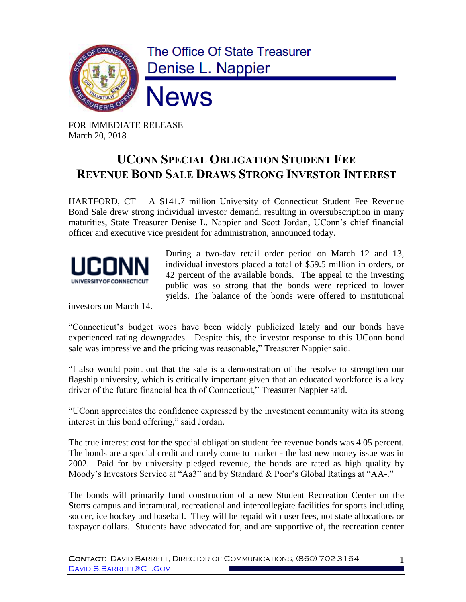

FOR IMMEDIATE RELEASE March 20, 2018

## **UCONN SPECIAL OBLIGATION STUDENT FEE REVENUE BOND SALE DRAWS STRONG INVESTOR INTEREST**

HARTFORD, CT – A \$141.7 million University of Connecticut Student Fee Revenue Bond Sale drew strong individual investor demand, resulting in oversubscription in many maturities, State Treasurer Denise L. Nappier and Scott Jordan, UConn's chief financial officer and executive vice president for administration, announced today.



During a two-day retail order period on March 12 and 13, individual investors placed a total of \$59.5 million in orders, or 42 percent of the available bonds. The appeal to the investing public was so strong that the bonds were repriced to lower yields. The balance of the bonds were offered to institutional

investors on March 14.

"Connecticut's budget woes have been widely publicized lately and our bonds have experienced rating downgrades. Despite this, the investor response to this UConn bond sale was impressive and the pricing was reasonable," Treasurer Nappier said.

"I also would point out that the sale is a demonstration of the resolve to strengthen our flagship university, which is critically important given that an educated workforce is a key driver of the future financial health of Connecticut," Treasurer Nappier said.

"UConn appreciates the confidence expressed by the investment community with its strong interest in this bond offering," said Jordan.

The true interest cost for the special obligation student fee revenue bonds was 4.05 percent. The bonds are a special credit and rarely come to market - the last new money issue was in 2002. Paid for by university pledged revenue, the bonds are rated as high quality by Moody's Investors Service at "Aa3" and by Standard & Poor's Global Ratings at "AA-."

The bonds will primarily fund construction of a new Student Recreation Center on the Storrs campus and intramural, recreational and intercollegiate facilities for sports including soccer, ice hockey and baseball. They will be repaid with user fees, not state allocations or taxpayer dollars. Students have advocated for, and are supportive of, the recreation center